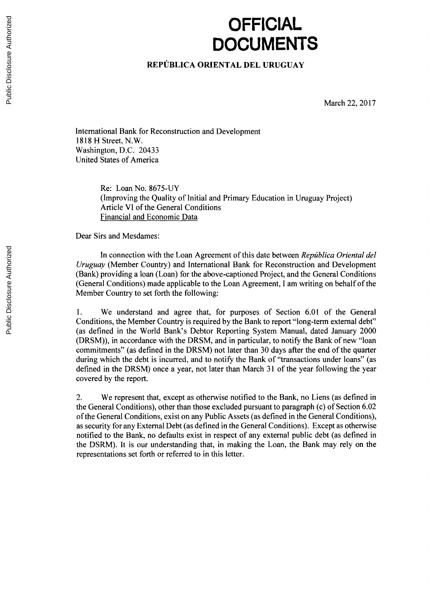## **OFFICIAL DOCUMENTS**

## **REPUBLICA ORIENTAL DEL URUGUAY**

March 22, **2017**

International Bank for Reconstruction and Development **1818** H Street, N.W. Washington, **D.C.** 20433 United States of America

> Re: Loan No. *8675-UY* (Improving the Quality of Initial and Primary Education in Uruguay Project) Article VI of the General Conditions Financial and Economic Data

Dear Sirs and Mesdames:

In connection with the Loan Agreement of this date between *República Oriental del Uruguay* (Member Country) and International Bank for Reconstruction and Development (Bank) providing a loan (Loan) for the above-captioned Project, and the General Conditions (General Conditions) made applicable to the Loan Agreement, I am writing on behalf of the Member Country to set forth the following:

**1.** We understand and agree that, for purposes of Section **6.01** of the General Conditions, the Member Country is required **by** the Bank to report "long-term external debt" (as defined in the World Bank's Debtor Reporting System Manual, dated January 2000 (DRSM)), in accordance with the DRSM, and in particular, to notify the Bank of new "loan commitments" (as defined in the DRSM) not later than **30** days after the end of the quarter during which the debt is incurred, and to notify the Bank of "transactions under loans" (as defined in the DRSM) once a year, not later than March **31** of the year following the year covered **by** the report.

2. We represent that, except as otherwise notified to the Bank, no Liens (as defined in the General Conditions), other than those excluded pursuant to paragraph (c) of Section **6.02** of the General Conditions, exist on any Public Assets (as defined in the General Conditions), as security for any External Debt (as defined in the General Conditions). Except as otherwise notified to the Bank, no defaults exist in respect of any external public debt (as defined in the DSRM). It is our understanding that, in making the Loan, the Bank may rely on the representations set forth or referred to in this letter.